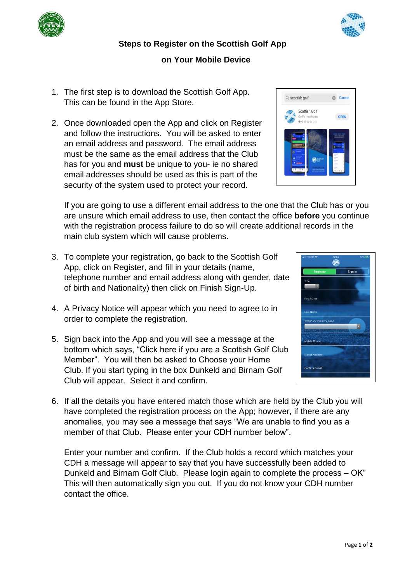## **Steps to Register on the Scottish Golf App**

## **on Your Mobile Device**

- 1. The first step is to download the Scottish Golf App. This can be found in the App Store.
- 2. Once downloaded open the App and click on Register and follow the instructions. You will be asked to enter an email address and password. The email address must be the same as the email address that the Club has for you and **must** be unique to you- ie no shared email addresses should be used as this is part of the security of the system used to protect your record.

If you are going to use a different email address to the one that the Club has or you are unsure which email address to use, then contact the office **before** you continue with the registration process failure to do so will create additional records in the main club system which will cause problems.

- 3. To complete your registration, go back to the Scottish Golf App, click on Register, and fill in your details (name, telephone number and email address along with gender, date of birth and Nationality) then click on Finish Sign-Up.
- 4. A Privacy Notice will appear which you need to agree to in order to complete the registration.
- 5. Sign back into the App and you will see a message at the bottom which says, "Click here if you are a Scottish Golf Club Member". You will then be asked to Choose your Home Club. If you start typing in the box Dunkeld and Birnam Golf Club will appear. Select it and confirm.
- 6. If all the details you have entered match those which are held by the Club you will have completed the registration process on the App; however, if there are any anomalies, you may see a message that says "We are unable to find you as a member of that Club. Please enter your CDH number below".

Enter your number and confirm. If the Club holds a record which matches your CDH a message will appear to say that you have successfully been added to Dunkeld and Birnam Golf Club. Please login again to complete the process – OK" This will then automatically sign you out. If you do not know your CDH number contact the office.